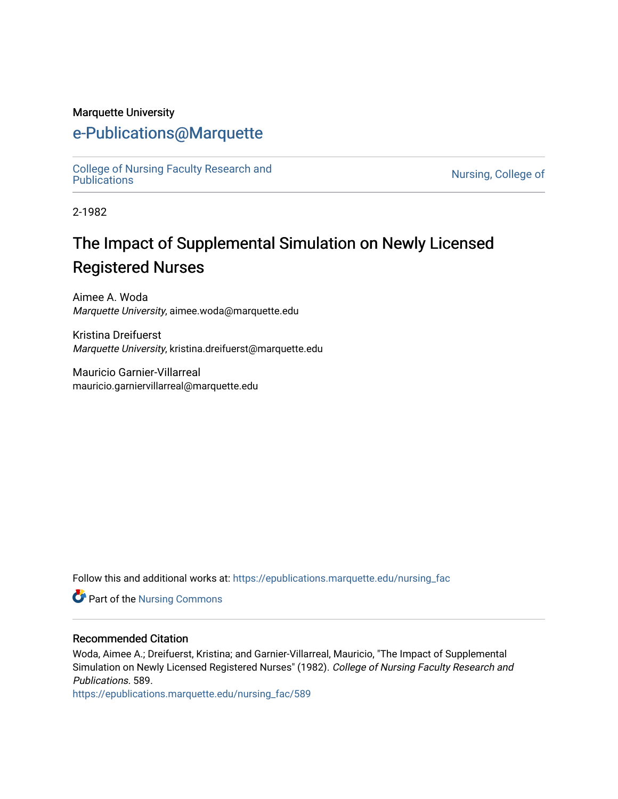#### Marquette University

## [e-Publications@Marquette](https://epublications.marquette.edu/)

[College of Nursing Faculty Research and](https://epublications.marquette.edu/nursing_fac)<br>Publications

Nursing, College of

2-1982

# The Impact of Supplemental Simulation on Newly Licensed Registered Nurses

Aimee A. Woda Marquette University, aimee.woda@marquette.edu

Kristina Dreifuerst Marquette University, kristina.dreifuerst@marquette.edu

Mauricio Garnier-Villarreal mauricio.garniervillarreal@marquette.edu

Follow this and additional works at: [https://epublications.marquette.edu/nursing\\_fac](https://epublications.marquette.edu/nursing_fac?utm_source=epublications.marquette.edu%2Fnursing_fac%2F589&utm_medium=PDF&utm_campaign=PDFCoverPages)

Part of the [Nursing Commons](http://network.bepress.com/hgg/discipline/718?utm_source=epublications.marquette.edu%2Fnursing_fac%2F589&utm_medium=PDF&utm_campaign=PDFCoverPages) 

#### Recommended Citation

Woda, Aimee A.; Dreifuerst, Kristina; and Garnier-Villarreal, Mauricio, "The Impact of Supplemental Simulation on Newly Licensed Registered Nurses" (1982). College of Nursing Faculty Research and Publications. 589.

[https://epublications.marquette.edu/nursing\\_fac/589](https://epublications.marquette.edu/nursing_fac/589?utm_source=epublications.marquette.edu%2Fnursing_fac%2F589&utm_medium=PDF&utm_campaign=PDFCoverPages)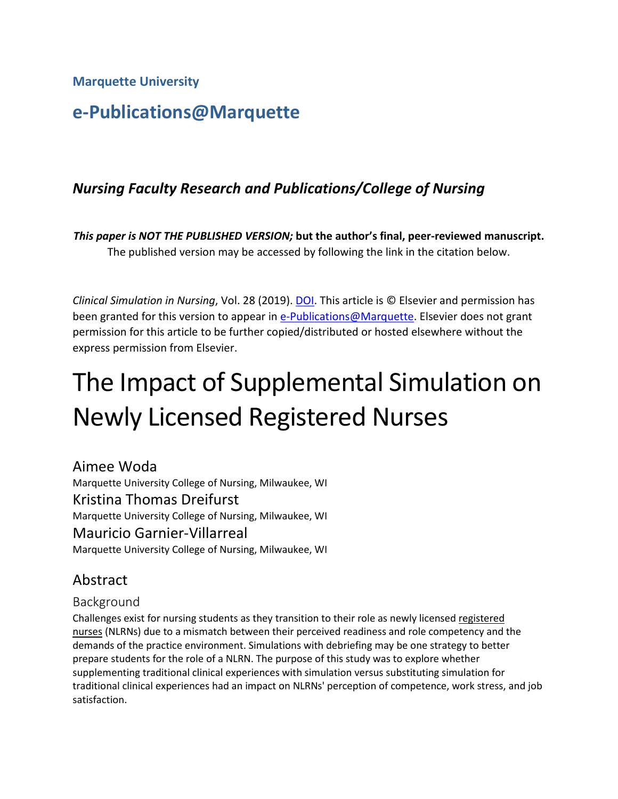**Marquette University**

# **e-Publications@Marquette**

## *Nursing Faculty Research and Publications/College of Nursing*

*This paper is NOT THE PUBLISHED VERSION;* **but the author's final, peer-reviewed manuscript.**  The published version may be accessed by following the link in the citation below.

*Clinical Simulation in Nursing*, Vol. 28 (2019). [DOI.](https://www.doi.org/10.1016/j.ecns.2018.12.002) This article is © Elsevier and permission has been granted for this version to appear in [e-Publications@Marquette.](http://epublications.marquette.edu/) Elsevier does not grant permission for this article to be further copied/distributed or hosted elsewhere without the express permission from Elsevier.

# The Impact of Supplemental Simulation on Newly Licensed Registered Nurses

Aimee Woda Marquette University College of Nursing, Milwaukee, WI Kristina Thomas Dreifurst Marquette University College of Nursing, Milwaukee, WI Mauricio Garnier-Villarreal Marquette University College of Nursing, Milwaukee, WI

## Abstract

#### Background

Challenges exist for nursing students as they transition to their role as newly licensed registered [nurses](https://www.sciencedirect.com/topics/nursing-and-health-professions/registered-nurse) (NLRNs) due to a mismatch between their perceived readiness and role competency and the demands of the practice environment. Simulations with debriefing may be one strategy to better prepare students for the role of a NLRN. The purpose of this study was to explore whether supplementing traditional clinical experiences with simulation versus substituting simulation for traditional clinical experiences had an impact on NLRNs' perception of competence, work stress, and job satisfaction.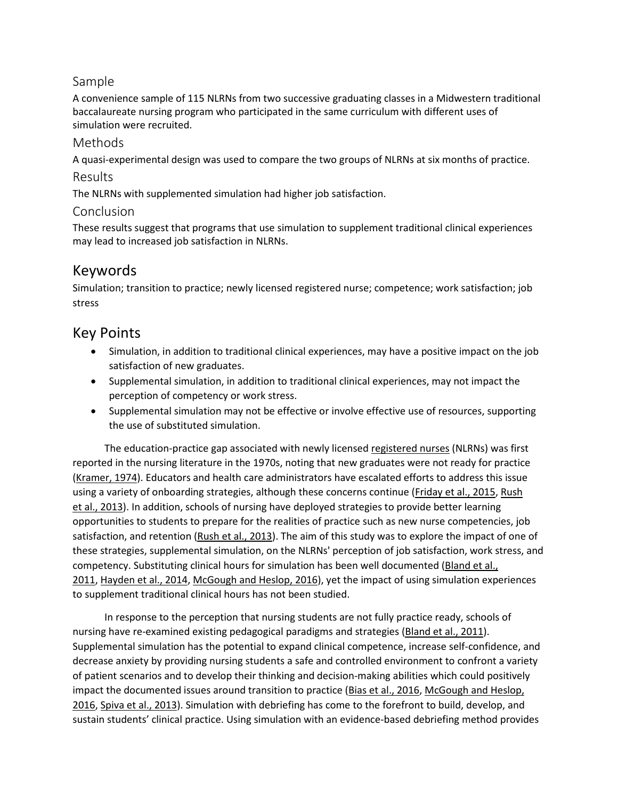#### Sample

A convenience sample of 115 NLRNs from two successive graduating classes in a Midwestern traditional baccalaureate nursing program who participated in the same curriculum with different uses of simulation were recruited.

#### Methods

A quasi-experimental design was used to compare the two groups of NLRNs at six months of practice.

#### Results

The NLRNs with supplemented simulation had higher job satisfaction.

#### Conclusion

These results suggest that programs that use simulation to supplement traditional clinical experiences may lead to increased job satisfaction in NLRNs.

## Keywords

Simulation; transition to practice; newly licensed registered nurse; competence; work satisfaction; job stress

## Key Points

- Simulation, in addition to traditional clinical experiences, may have a positive impact on the job satisfaction of new graduates.
- Supplemental simulation, in addition to traditional clinical experiences, may not impact the perception of competency or work stress.
- Supplemental simulation may not be effective or involve effective use of resources, supporting the use of substituted simulation.

The education-practice gap associated with newly licensed [registered nurses](https://www.sciencedirect.com/topics/nursing-and-health-professions/registered-nurse) (NLRNs) was first reported in the nursing literature in the 1970s, noting that new graduates were not ready for practice [\(Kramer, 1974\)](https://www.sciencedirect.com/science/article/pii/S1876139918300987?via%3Dihub#bib15). Educators and health care administrators have escalated efforts to address this issue using a variety of onboarding strategies, although these concerns continue [\(Friday et](https://www.sciencedirect.com/science/article/pii/S1876139918300987?via%3Dihub#bib9) al., 2015, [Rush](https://www.sciencedirect.com/science/article/pii/S1876139918300987?via%3Dihub#bib26)  et [al., 2013\)](https://www.sciencedirect.com/science/article/pii/S1876139918300987?via%3Dihub#bib26). In addition, schools of nursing have deployed strategies to provide better learning opportunities to students to prepare for the realities of practice such as new nurse competencies, job satisfaction, and retention (Rush et [al., 2013\)](https://www.sciencedirect.com/science/article/pii/S1876139918300987?via%3Dihub#bib26). The aim of this study was to explore the impact of one of these strategies, supplemental simulation, on the NLRNs' perception of job satisfaction, work stress, and competency. Substituting clinical hours for simulation has been well documented [\(Bland et](https://www.sciencedirect.com/science/article/pii/S1876139918300987?via%3Dihub#bib4) al., [2011,](https://www.sciencedirect.com/science/article/pii/S1876139918300987?via%3Dihub#bib4) [Hayden et](https://www.sciencedirect.com/science/article/pii/S1876139918300987?via%3Dihub#bib10) al., 2014, [McGough and Heslop, 2016\)](https://www.sciencedirect.com/science/article/pii/S1876139918300987?via%3Dihub#bib21), yet the impact of using simulation experiences to supplement traditional clinical hours has not been studied.

In response to the perception that nursing students are not fully practice ready, schools of nursing have re-examined existing pedagogical paradigms and strategies (Bland et [al., 2011\)](https://www.sciencedirect.com/science/article/pii/S1876139918300987?via%3Dihub#bib4). Supplemental simulation has the potential to expand clinical competence, increase self-confidence, and decrease anxiety by providing nursing students a safe and controlled environment to confront a variety of patient scenarios and to develop their thinking and decision-making abilities which could positively impact the documented issues around transition to practice (Bias et [al., 2016,](https://www.sciencedirect.com/science/article/pii/S1876139918300987?via%3Dihub#bib3) McGough and Heslop, [2016,](https://www.sciencedirect.com/science/article/pii/S1876139918300987?via%3Dihub#bib21) Spiva et [al., 2013\)](https://www.sciencedirect.com/science/article/pii/S1876139918300987?via%3Dihub#bib29). Simulation with debriefing has come to the forefront to build, develop, and sustain students' clinical practice. Using simulation with an evidence-based debriefing method provides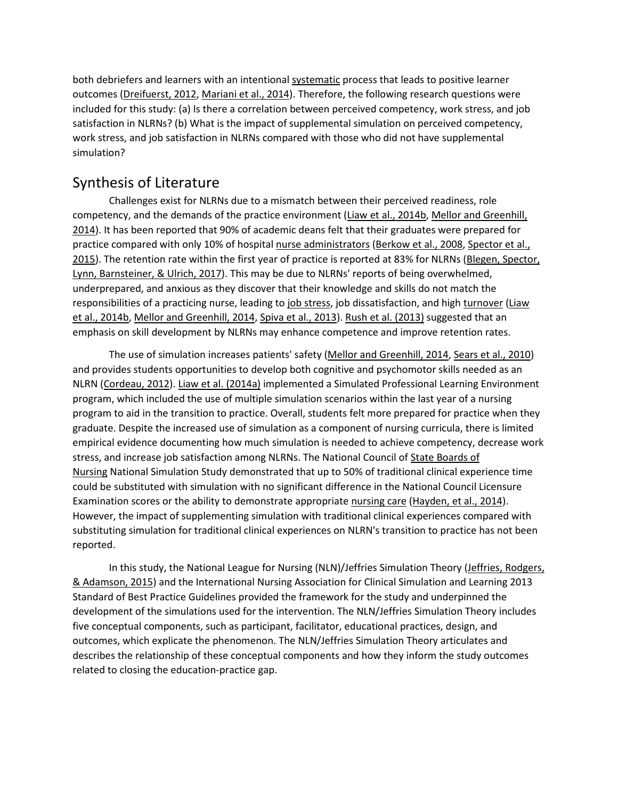both debriefers and learners with an intentional [systematic](https://www.sciencedirect.com/topics/nursing-and-health-professions/taxonomy) process that leads to positive learner outcomes [\(Dreifuerst, 2012,](https://www.sciencedirect.com/science/article/pii/S1876139918300987?via%3Dihub#bib8) [Mariani et](https://www.sciencedirect.com/science/article/pii/S1876139918300987?via%3Dihub#bib20) al., 2014). Therefore, the following research questions were included for this study: (a) Is there a correlation between perceived competency, work stress, and job satisfaction in NLRNs? (b) What is the impact of supplemental simulation on perceived competency, work stress, and job satisfaction in NLRNs compared with those who did not have supplemental simulation?

## Synthesis of Literature

Challenges exist for NLRNs due to a mismatch between their perceived readiness, role competency, and the demands of the practice environment (Liaw et [al., 2014b,](https://www.sciencedirect.com/science/article/pii/S1876139918300987?via%3Dihub#bib17) [Mellor and Greenhill,](https://www.sciencedirect.com/science/article/pii/S1876139918300987?via%3Dihub#bib22)  [2014\)](https://www.sciencedirect.com/science/article/pii/S1876139918300987?via%3Dihub#bib22). It has been reported that 90% of academic deans felt that their graduates were prepared for practice compared with only 10% of hospital [nurse administrators](https://www.sciencedirect.com/topics/nursing-and-health-professions/nurse-administrator) [\(Berkow et](https://www.sciencedirect.com/science/article/pii/S1876139918300987?via%3Dihub#bib2) al., 2008, [Spector et](https://www.sciencedirect.com/science/article/pii/S1876139918300987?via%3Dihub#bib28) al., [2015\)](https://www.sciencedirect.com/science/article/pii/S1876139918300987?via%3Dihub#bib28). The retention rate within the first year of practice is reported at 83% for NLRNs [\(Blegen, Spector,](https://www.sciencedirect.com/science/article/pii/S1876139918300987?via%3Dihub#bib5)  [Lynn, Barnsteiner, & Ulrich, 2017\)](https://www.sciencedirect.com/science/article/pii/S1876139918300987?via%3Dihub#bib5). This may be due to NLRNs' reports of being overwhelmed, underprepared, and anxious as they discover that their knowledge and skills do not match the responsibilities of a practicing nurse, leading to [job stress,](https://www.sciencedirect.com/topics/nursing-and-health-professions/job-stress) job dissatisfaction, and high [turnover](https://www.sciencedirect.com/topics/nursing-and-health-professions/turnover-rate) (Liaw et [al., 2014b,](https://www.sciencedirect.com/science/article/pii/S1876139918300987?via%3Dihub#bib17) [Mellor and Greenhill, 2014,](https://www.sciencedirect.com/science/article/pii/S1876139918300987?via%3Dihub#bib22) Spiva et [al., 2013\)](https://www.sciencedirect.com/science/article/pii/S1876139918300987?via%3Dihub#bib29). Rush et [al. \(2013\)](https://www.sciencedirect.com/science/article/pii/S1876139918300987?via%3Dihub#bib26) suggested that an emphasis on skill development by NLRNs may enhance competence and improve retention rates.

The use of simulation increases patients' safety [\(Mellor and Greenhill, 2014,](https://www.sciencedirect.com/science/article/pii/S1876139918300987?via%3Dihub#bib22) Sears et [al., 2010\)](https://www.sciencedirect.com/science/article/pii/S1876139918300987?via%3Dihub#bib27) and provides students opportunities to develop both cognitive and psychomotor skills needed as an NLRN [\(Cordeau, 2012\)](https://www.sciencedirect.com/science/article/pii/S1876139918300987?via%3Dihub#bib7). Liaw et [al. \(2014a\)](https://www.sciencedirect.com/science/article/pii/S1876139918300987?via%3Dihub#bib16) implemented a Simulated Professional Learning Environment program, which included the use of multiple simulation scenarios within the last year of a nursing program to aid in the transition to practice. Overall, students felt more prepared for practice when they graduate. Despite the increased use of simulation as a component of nursing curricula, there is limited empirical evidence documenting how much simulation is needed to achieve competency, decrease work stress, and increase job satisfaction among NLRNs. The National Council of [State Boards of](https://www.sciencedirect.com/topics/nursing-and-health-professions/nursing-organization)  [Nursing](https://www.sciencedirect.com/topics/nursing-and-health-professions/nursing-organization) National Simulation Study demonstrated that up to 50% of traditional clinical experience time could be substituted with simulation with no significant difference in the National Council Licensure Examination scores or the ability to demonstrate appropriate [nursing care](https://www.sciencedirect.com/topics/nursing-and-health-professions/nursing-care) [\(Hayden, et](https://www.sciencedirect.com/science/article/pii/S1876139918300987?via%3Dihub#bib10) al., 2014). However, the impact of supplementing simulation with traditional clinical experiences compared with substituting simulation for traditional clinical experiences on NLRN's transition to practice has not been reported.

In this study, the National League for Nursing (NLN)/Jeffries Simulation Theory (Jeffries, Rodgers, [& Adamson, 2015\)](https://www.sciencedirect.com/science/article/pii/S1876139918300987?via%3Dihub#bib12) and the International Nursing Association for Clinical Simulation and Learning 2013 Standard of Best Practice Guidelines provided the framework for the study and underpinned the development of the simulations used for the intervention. The NLN/Jeffries Simulation Theory includes five conceptual components, such as participant, facilitator, educational practices, design, and outcomes, which explicate the phenomenon. The NLN/Jeffries Simulation Theory articulates and describes the relationship of these conceptual components and how they inform the study outcomes related to closing the education-practice gap.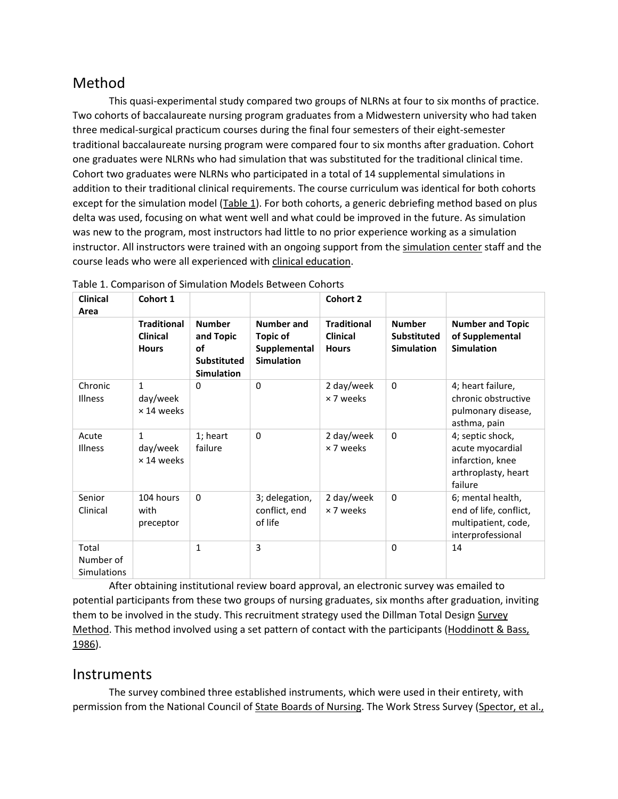## Method

This quasi-experimental study compared two groups of NLRNs at four to six months of practice. Two cohorts of baccalaureate nursing program graduates from a Midwestern university who had taken three medical-surgical practicum courses during the final four semesters of their eight-semester traditional baccalaureate nursing program were compared four to six months after graduation. Cohort one graduates were NLRNs who had simulation that was substituted for the traditional clinical time. Cohort two graduates were NLRNs who participated in a total of 14 supplemental simulations in addition to their traditional clinical requirements. The course curriculum was identical for both cohorts except for the simulation model [\(Table](https://www.sciencedirect.com/science/article/pii/S1876139918300987?via%3Dihub#tbl1) 1). For both cohorts, a generic debriefing method based on plus delta was used, focusing on what went well and what could be improved in the future. As simulation was new to the program, most instructors had little to no prior experience working as a simulation instructor. All instructors were trained with an ongoing support from the [simulation center](https://www.sciencedirect.com/topics/nursing-and-health-professions/simulation-center) staff and the course leads who were all experienced with [clinical education.](https://www.sciencedirect.com/topics/nursing-and-health-professions/clinical-education)

| <b>Clinical</b><br>Area                  | Cohort 1                                              |                                                                             |                                                                    | Cohort 2                                              |                                                          |                                                                                            |
|------------------------------------------|-------------------------------------------------------|-----------------------------------------------------------------------------|--------------------------------------------------------------------|-------------------------------------------------------|----------------------------------------------------------|--------------------------------------------------------------------------------------------|
|                                          | <b>Traditional</b><br><b>Clinical</b><br><b>Hours</b> | <b>Number</b><br>and Topic<br>οf<br><b>Substituted</b><br><b>Simulation</b> | <b>Number and</b><br>Topic of<br>Supplemental<br><b>Simulation</b> | <b>Traditional</b><br><b>Clinical</b><br><b>Hours</b> | <b>Number</b><br><b>Substituted</b><br><b>Simulation</b> | <b>Number and Topic</b><br>of Supplemental<br><b>Simulation</b>                            |
| Chronic<br><b>Illness</b>                | $\mathbf{1}$<br>day/week<br>$\times$ 14 weeks         | 0                                                                           | $\Omega$                                                           | 2 day/week<br>×7 weeks                                | $\mathbf{0}$                                             | 4; heart failure,<br>chronic obstructive<br>pulmonary disease,<br>asthma, pain             |
| Acute<br>Illness                         | $\mathbf{1}$<br>day/week<br>$\times$ 14 weeks         | 1; heart<br>failure                                                         | $\Omega$                                                           | 2 day/week<br>×7 weeks                                | $\mathbf{0}$                                             | 4; septic shock,<br>acute myocardial<br>infarction, knee<br>arthroplasty, heart<br>failure |
| Senior<br>Clinical                       | 104 hours<br>with<br>preceptor                        | $\mathbf{0}$                                                                | 3; delegation,<br>conflict, end<br>of life                         | 2 day/week<br>× 7 weeks                               | $\mathbf{0}$                                             | 6; mental health,<br>end of life, conflict,<br>multipatient, code,<br>interprofessional    |
| Total<br>Number of<br><b>Simulations</b> |                                                       | 1                                                                           | 3                                                                  |                                                       | $\Omega$                                                 | 14                                                                                         |

Table 1. Comparison of Simulation Models Between Cohorts

After obtaining institutional review board approval, an electronic survey was emailed to potential participants from these two groups of nursing graduates, six months after graduation, inviting them to be involved in the study. This recruitment strategy used the Dillman Total Design [Survey](https://www.sciencedirect.com/topics/nursing-and-health-professions/survey-method)  [Method.](https://www.sciencedirect.com/topics/nursing-and-health-professions/survey-method) This method involved using a set pattern of contact with the participants (Hoddinott & Bass, [1986\)](https://www.sciencedirect.com/science/article/pii/S1876139918300987?via%3Dihub#bib11).

## **Instruments**

The survey combined three established instruments, which were used in their entirety, with permission from the National Council of [State Boards of Nursing.](https://www.sciencedirect.com/topics/nursing-and-health-professions/nursing-organization) The Work Stress Survey [\(Spector, et](https://www.sciencedirect.com/science/article/pii/S1876139918300987?via%3Dihub#bib28) al.,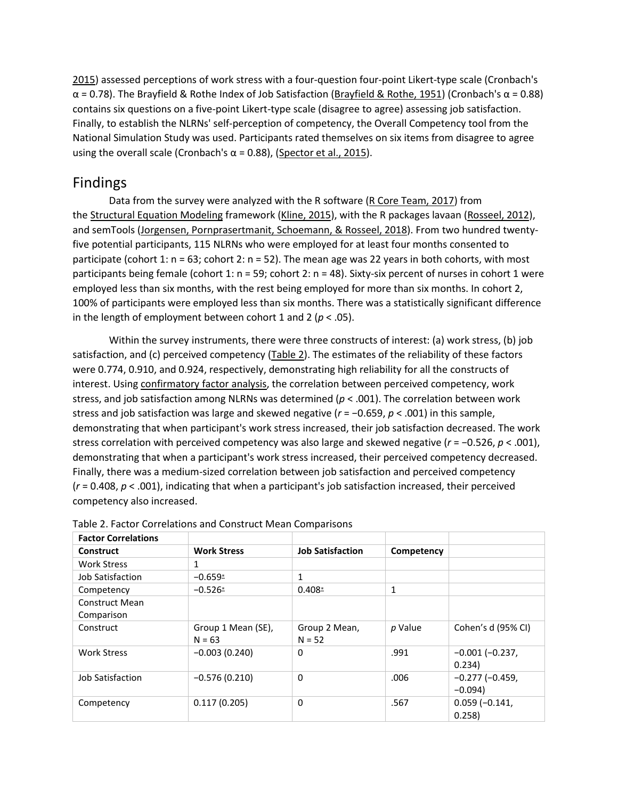[2015\)](https://www.sciencedirect.com/science/article/pii/S1876139918300987?via%3Dihub#bib28) assessed perceptions of work stress with a four-question four-point Likert-type scale (Cronbach's α = 0.78). The Brayfield & Rothe Index of Job Satisfaction [\(Brayfield & Rothe, 1951](https://www.sciencedirect.com/science/article/pii/S1876139918300987?via%3Dihub#bib6)) (Cronbach's α = 0.88) contains six questions on a five-point Likert-type scale (disagree to agree) assessing job satisfaction. Finally, to establish the NLRNs' self-perception of competency, the Overall Competency tool from the National Simulation Study was used. Participants rated themselves on six items from disagree to agree using the overall scale (Cronbach's  $\alpha$  = 0.88), [\(Spector et](https://www.sciencedirect.com/science/article/pii/S1876139918300987?via%3Dihub#bib28) al., 2015).

## Findings

Data from the survey were analyzed with the R software [\(R Core Team, 2017\)](https://www.sciencedirect.com/science/article/pii/S1876139918300987?via%3Dihub#bib24) from the [Structural Equation Modeling](https://www.sciencedirect.com/topics/nursing-and-health-professions/structural-equation-modeling) framework [\(Kline, 2015\)](https://www.sciencedirect.com/science/article/pii/S1876139918300987?via%3Dihub#bib14), with the R packages lavaan [\(Rosseel, 2012\)](https://www.sciencedirect.com/science/article/pii/S1876139918300987?via%3Dihub#bib25), and semTools [\(Jorgensen, Pornprasertmanit, Schoemann, & Rosseel, 2018\)](https://www.sciencedirect.com/science/article/pii/S1876139918300987?via%3Dihub#bib13). From two hundred twentyfive potential participants, 115 NLRNs who were employed for at least four months consented to participate (cohort 1:  $n = 63$ ; cohort 2:  $n = 52$ ). The mean age was 22 years in both cohorts, with most participants being female (cohort 1: n = 59; cohort 2: n = 48). Sixty-six percent of nurses in cohort 1 were employed less than six months, with the rest being employed for more than six months. In cohort 2, 100% of participants were employed less than six months. There was a statistically significant difference in the length of employment between cohort 1 and 2 (*p* < .05).

Within the survey instruments, there were three constructs of interest: (a) work stress, (b) job satisfaction, and (c) perceived competency [\(Table](https://www.sciencedirect.com/science/article/pii/S1876139918300987?via%3Dihub#tbl2) 2). The estimates of the reliability of these factors were 0.774, 0.910, and 0.924, respectively, demonstrating high reliability for all the constructs of interest. Using [confirmatory factor analysis,](https://www.sciencedirect.com/topics/nursing-and-health-professions/confirmatory-factor-analysis) the correlation between perceived competency, work stress, and job satisfaction among NLRNs was determined (*p* < .001). The correlation between work stress and job satisfaction was large and skewed negative (*r* = −0.659, *p* < .001) in this sample, demonstrating that when participant's work stress increased, their job satisfaction decreased. The work stress correlation with perceived competency was also large and skewed negative (*r* = −0.526, *p* < .001), demonstrating that when a participant's work stress increased, their perceived competency decreased. Finally, there was a medium-sized correlation between job satisfaction and perceived competency (*r* = 0.408, *p* < .001), indicating that when a participant's job satisfaction increased, their perceived competency also increased.

| <b>Factor Correlations</b>          |                                |                           |            |                                   |
|-------------------------------------|--------------------------------|---------------------------|------------|-----------------------------------|
| Construct                           | <b>Work Stress</b>             | <b>Job Satisfaction</b>   | Competency |                                   |
| <b>Work Stress</b>                  | 1                              |                           |            |                                   |
| Job Satisfaction                    | $-0.659*$                      | $\mathbf{1}$              |            |                                   |
| Competency                          | $-0.526*$                      | $0.408*$                  | 1          |                                   |
| <b>Construct Mean</b><br>Comparison |                                |                           |            |                                   |
| Construct                           | Group 1 Mean (SE),<br>$N = 63$ | Group 2 Mean,<br>$N = 52$ | p Value    | Cohen's d (95% CI)                |
| <b>Work Stress</b>                  | $-0.003(0.240)$                | 0                         | .991       | $-0.001(-0.237)$<br>0.234)        |
| <b>Job Satisfaction</b>             | $-0.576(0.210)$                | $\Omega$                  | .006       | $-0.277$ ( $-0.459$ ,<br>$-0.094$ |
| Competency                          | 0.117(0.205)                   | 0                         | .567       | $0.059(-0.141,$<br>0.258          |

| Table 2. Factor Correlations and Construct Mean Comparisons |  |
|-------------------------------------------------------------|--|
|-------------------------------------------------------------|--|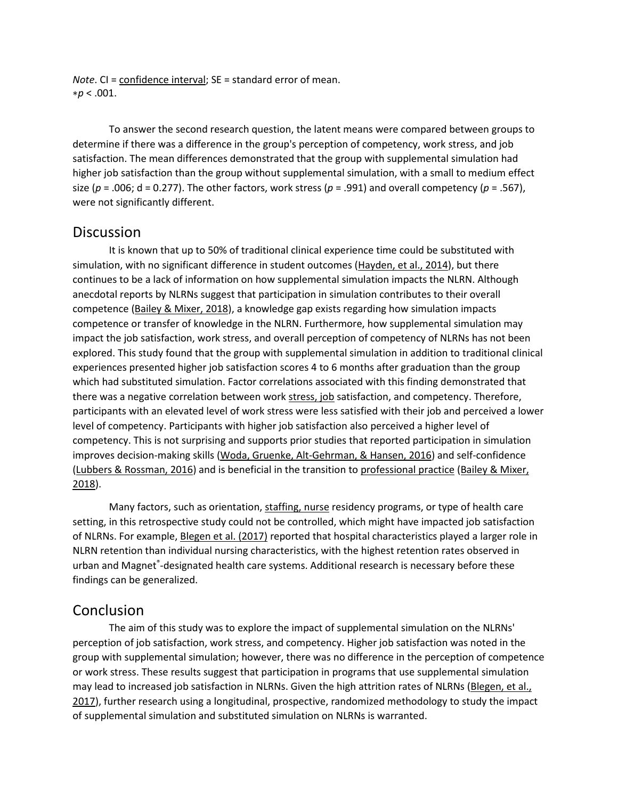*Note*. CI = [confidence interval;](https://www.sciencedirect.com/topics/nursing-and-health-professions/confidence-interval) SE = standard error of mean. ∗*p* < .001.

To answer the second research question, the latent means were compared between groups to determine if there was a difference in the group's perception of competency, work stress, and job satisfaction. The mean differences demonstrated that the group with supplemental simulation had higher job satisfaction than the group without supplemental simulation, with a small to medium effect size ( $p = .006$ ; d = 0.277). The other factors, work stress ( $p = .991$ ) and overall competency ( $p = .567$ ), were not significantly different.

#### **Discussion**

It is known that up to 50% of traditional clinical experience time could be substituted with simulation, with no significant difference in student outcomes [\(Hayden, et](https://www.sciencedirect.com/science/article/pii/S1876139918300987?via%3Dihub#bib10) al., 2014), but there continues to be a lack of information on how supplemental simulation impacts the NLRN. Although anecdotal reports by NLRNs suggest that participation in simulation contributes to their overall competence [\(Bailey & Mixer, 2018\)](https://www.sciencedirect.com/science/article/pii/S1876139918300987?via%3Dihub#bib1), a knowledge gap exists regarding how simulation impacts competence or transfer of knowledge in the NLRN. Furthermore, how supplemental simulation may impact the job satisfaction, work stress, and overall perception of competency of NLRNs has not been explored. This study found that the group with supplemental simulation in addition to traditional clinical experiences presented higher job satisfaction scores 4 to 6 months after graduation than the group which had substituted simulation. Factor correlations associated with this finding demonstrated that there was a negative correlation between work [stress, job](https://www.sciencedirect.com/topics/nursing-and-health-professions/job-stress) satisfaction, and competency. Therefore, participants with an elevated level of work stress were less satisfied with their job and perceived a lower level of competency. Participants with higher job satisfaction also perceived a higher level of competency. This is not surprising and supports prior studies that reported participation in simulation improves decision-making skills [\(Woda, Gruenke, Alt-Gehrman, & Hansen, 2016\)](https://www.sciencedirect.com/science/article/pii/S1876139918300987?via%3Dihub#bib30) and self-confidence [\(Lubbers & Rossman, 2016\)](https://www.sciencedirect.com/science/article/pii/S1876139918300987?via%3Dihub#bib18) and is beneficial in the transition to [professional practice](https://www.sciencedirect.com/topics/nursing-and-health-professions/professional-practice) [\(Bailey & Mixer,](https://www.sciencedirect.com/science/article/pii/S1876139918300987?via%3Dihub#bib1)  [2018\)](https://www.sciencedirect.com/science/article/pii/S1876139918300987?via%3Dihub#bib1).

Many factors, such as orientation, [staffing, nurse](https://www.sciencedirect.com/topics/nursing-and-health-professions/nursing-staff) residency programs, or type of health care setting, in this retrospective study could not be controlled, which might have impacted job satisfaction of NLRNs. For example, [Blegen et](https://www.sciencedirect.com/science/article/pii/S1876139918300987?via%3Dihub#bib5) al. (2017) reported that hospital characteristics played a larger role in NLRN retention than individual nursing characteristics, with the highest retention rates observed in urban and Magnet<sup>®</sup>-designated health care systems. Additional research is necessary before these findings can be generalized.

## Conclusion

The aim of this study was to explore the impact of supplemental simulation on the NLRNs' perception of job satisfaction, work stress, and competency. Higher job satisfaction was noted in the group with supplemental simulation; however, there was no difference in the perception of competence or work stress. These results suggest that participation in programs that use supplemental simulation may lead to increased job satisfaction in NLRNs. Given the high attrition rates of NLRNs [\(Blegen, et](https://www.sciencedirect.com/science/article/pii/S1876139918300987?via%3Dihub#bib5) al., [2017\)](https://www.sciencedirect.com/science/article/pii/S1876139918300987?via%3Dihub#bib5), further research using a longitudinal, prospective, randomized methodology to study the impact of supplemental simulation and substituted simulation on NLRNs is warranted.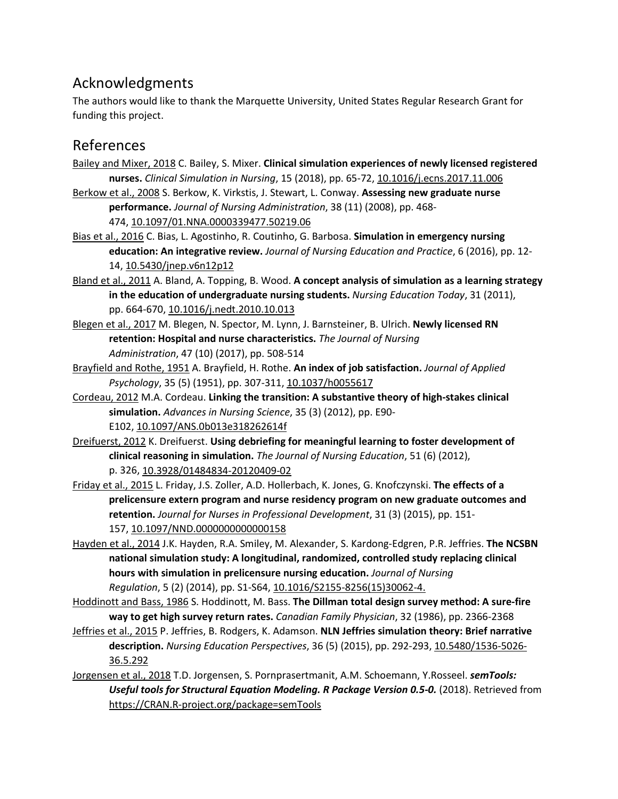## Acknowledgments

The authors would like to thank the Marquette University, United States Regular Research Grant for funding this project.

## References

- [Bailey and Mixer, 2018](https://www.sciencedirect.com/science/article/pii/S1876139918300987?via%3Dihub#bbib1) C. Bailey, S. Mixer. **Clinical simulation experiences of newly licensed registered nurses.** *Clinical Simulation in Nursing*, 15 (2018), pp. 65-72, [10.1016/j.ecns.2017.11.006](https://doi.org/10.1016/j.ecns.2017.11.006)
- [Berkow et](https://www.sciencedirect.com/science/article/pii/S1876139918300987?via%3Dihub#bbib2) al., 2008 S. Berkow, K. Virkstis, J. Stewart, L. Conway. **Assessing new graduate nurse performance.** *Journal of Nursing Administration*, 38 (11) (2008), pp. 468- 474, [10.1097/01.NNA.0000339477.50219.06](https://doi.org/10.1097/01.NNA.0000339477.50219.06)
- Bias et [al., 2016](https://www.sciencedirect.com/science/article/pii/S1876139918300987?via%3Dihub#bbib3) C. Bias, L. Agostinho, R. Coutinho, G. Barbosa. **Simulation in emergency nursing education: An integrative review.** *Journal of Nursing Education and Practice*, 6 (2016), pp. 12- 14, [10.5430/jnep.v6n12p12](https://doi.org/10.5430/jnep.v6n12p12)
- Bland et [al., 2011](https://www.sciencedirect.com/science/article/pii/S1876139918300987?via%3Dihub#bbib4) A. Bland, A. Topping, B. Wood. **A concept analysis of simulation as a learning strategy in the education of undergraduate nursing students.** *Nursing Education Today*, 31 (2011), pp. 664-670, [10.1016/j.nedt.2010.10.013](https://doi.org/10.1016/j.nedt.2010.10.013)
- [Blegen et](https://www.sciencedirect.com/science/article/pii/S1876139918300987?via%3Dihub#bbib5) al., 2017 M. Blegen, N. Spector, M. Lynn, J. Barnsteiner, B. Ulrich. **Newly licensed RN retention: Hospital and nurse characteristics.** *The Journal of Nursing Administration*, 47 (10) (2017), pp. 508-514
- [Brayfield and Rothe, 1951](https://www.sciencedirect.com/science/article/pii/S1876139918300987?via%3Dihub#bbib6) A. Brayfield, H. Rothe. **An index of job satisfaction.** *Journal of Applied Psychology*, 35 (5) (1951), pp. 307-311, [10.1037/h0055617](https://doi.org/10.1037/h0055617)
- [Cordeau, 2012](https://www.sciencedirect.com/science/article/pii/S1876139918300987?via%3Dihub#bbib7) M.A. Cordeau. **Linking the transition: A substantive theory of high-stakes clinical simulation.** *Advances in Nursing Science*, 35 (3) (2012), pp. E90- E102, [10.1097/ANS.0b013e318262614f](https://doi.org/10.1097/ANS.0b013e318262614f)
- [Dreifuerst, 2012](https://www.sciencedirect.com/science/article/pii/S1876139918300987?via%3Dihub#bbib8) K. Dreifuerst. **Using debriefing for meaningful learning to foster development of clinical reasoning in simulation.** *The Journal of Nursing Education*, 51 (6) (2012), p. 326, [10.3928/01484834-20120409-02](https://doi.org/10.3928/01484834-20120409-02)
- [Friday et](https://www.sciencedirect.com/science/article/pii/S1876139918300987?via%3Dihub#bbib9) al., 2015 L. Friday, J.S. Zoller, A.D. Hollerbach, K. Jones, G. Knofczynski. **The effects of a prelicensure extern program and nurse residency program on new graduate outcomes and retention.** *Journal for Nurses in Professional Development*, 31 (3) (2015), pp. 151- 157, [10.1097/NND.0000000000000158](https://doi.org/10.1097/NND.0000000000000158)
- [Hayden et](https://www.sciencedirect.com/science/article/pii/S1876139918300987?via%3Dihub#bbib10) al., 2014 J.K. Hayden, R.A. Smiley, M. Alexander, S. Kardong-Edgren, P.R. Jeffries. **The NCSBN national simulation study: A longitudinal, randomized, controlled study replacing clinical hours with simulation in prelicensure nursing education.** *Journal of Nursing Regulation*, 5 (2) (2014), pp. S1-S64, [10.1016/S2155-8256\(15\)30062-4.](https://doi.org/10.1016/S2155-8256(15)30062-4)
- [Hoddinott and Bass, 1986](https://www.sciencedirect.com/science/article/pii/S1876139918300987?via%3Dihub#bbib11) S. Hoddinott, M. Bass. **The Dillman total design survey method: A sure-fire way to get high survey return rates.** *Canadian Family Physician*, 32 (1986), pp. 2366-2368
- [Jeffries et](https://www.sciencedirect.com/science/article/pii/S1876139918300987?via%3Dihub#bbib12) al., 2015 P. Jeffries, B. Rodgers, K. Adamson. **NLN Jeffries simulation theory: Brief narrative description.** *Nursing Education Perspectives*, 36 (5) (2015), pp. 292-293, [10.5480/1536-5026-](https://doi.org/10.5480/1536-5026-36.5.292) [36.5.292](https://doi.org/10.5480/1536-5026-36.5.292)
- [Jorgensen et](https://www.sciencedirect.com/science/article/pii/S1876139918300987?via%3Dihub#bbib13) al., 2018 T.D. Jorgensen, S. Pornprasertmanit, A.M. Schoemann, Y.Rosseel. *semTools:*  Useful tools for Structural Equation Modeling. R Package Version 0.5-0. (2018). Retrieved from [https://CRAN.R-project.org/package=semTools](https://cran.r-project.org/package=semTools)